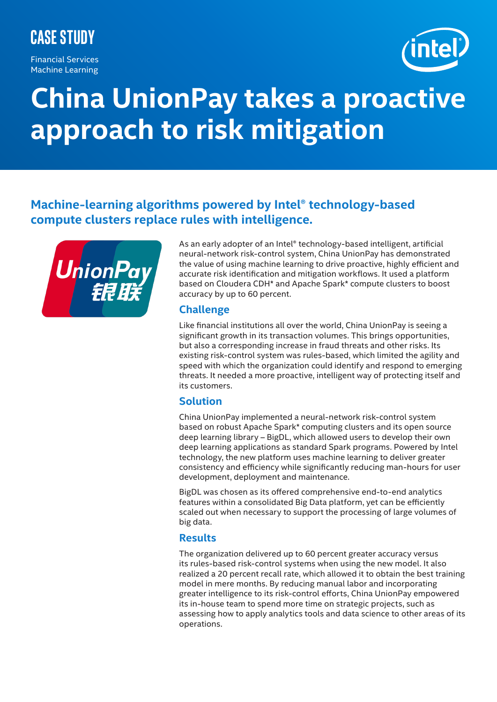# **Case Study**

Financial Services Machine Learning



# **China UnionPay takes a proactive approach to risk mitigation**

# **Machine-learning algorithms powered by Intel® technology-based compute clusters replace rules with intelligence.**



As an early adopter of an Intel® technology-based intelligent, artificial neural-network risk-control system, China UnionPay has demonstrated the value of using machine learning to drive proactive, highly efficient and accurate risk identification and mitigation workflows. It used a platform based on Cloudera CDH\* and Apache Spark\* compute clusters to boost accuracy by up to 60 percent.

#### **Challenge**

Like financial institutions all over the world, China UnionPay is seeing a significant growth in its transaction volumes. This brings opportunities, but also a corresponding increase in fraud threats and other risks. Its existing risk-control system was rules-based, which limited the agility and speed with which the organization could identify and respond to emerging threats. It needed a more proactive, intelligent way of protecting itself and its customers.

## **Solution**

China UnionPay implemented a neural-network risk-control system based on robust Apache Spark\* computing clusters and its open source deep learning library – BigDL, which allowed users to develop their own deep learning applications as standard Spark programs. Powered by Intel technology, the new platform uses machine learning to deliver greater consistency and efficiency while significantly reducing man-hours for user development, deployment and maintenance.

BigDL was chosen as its offered comprehensive end-to-end analytics features within a consolidated Big Data platform, yet can be efficiently scaled out when necessary to support the processing of large volumes of big data.

## **Results**

The organization delivered up to 60 percent greater accuracy versus its rules-based risk-control systems when using the new model. It also realized a 20 percent recall rate, which allowed it to obtain the best training model in mere months. By reducing manual labor and incorporating greater intelligence to its risk-control efforts, China UnionPay empowered its in-house team to spend more time on strategic projects, such as assessing how to apply analytics tools and data science to other areas of its operations.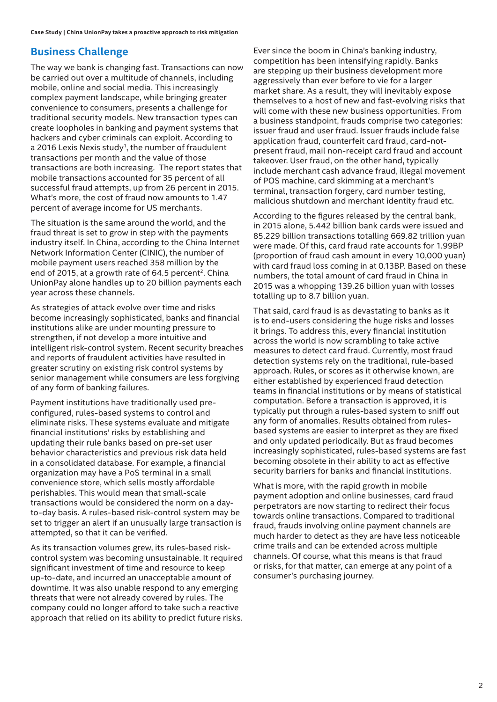# **Business Challenge**

The way we bank is changing fast. Transactions can now be carried out over a multitude of channels, including mobile, online and social media. This increasingly complex payment landscape, while bringing greater convenience to consumers, presents a challenge for traditional security models. New transaction types can create loopholes in banking and payment systems that hackers and cyber criminals can exploit. According to a 2016 Lexis Nexis study<sup>1</sup>, the number of fraudulent transactions per month and the value of those transactions are both increasing. The report states that mobile transactions accounted for 35 percent of all successful fraud attempts, up from 26 percent in 2015. What's more, the cost of fraud now amounts to 1.47 percent of average income for US merchants.

The situation is the same around the world, and the fraud threat is set to grow in step with the payments industry itself. In China, according to the China Internet Network Information Center (CINIC), the number of mobile payment users reached 358 million by the end of 2015, at a growth rate of 64.5 percent<sup>2</sup>. China UnionPay alone handles up to 20 billion payments each year across these channels.

As strategies of attack evolve over time and risks become increasingly sophisticated, banks and financial institutions alike are under mounting pressure to strengthen, if not develop a more intuitive and intelligent risk-control system. Recent security breaches and reports of fraudulent activities have resulted in greater scrutiny on existing risk control systems by senior management while consumers are less forgiving of any form of banking failures.

Payment institutions have traditionally used preconfigured, rules-based systems to control and eliminate risks. These systems evaluate and mitigate financial institutions' risks by establishing and updating their rule banks based on pre-set user behavior characteristics and previous risk data held in a consolidated database. For example, a financial organization may have a PoS terminal in a small convenience store, which sells mostly affordable perishables. This would mean that small-scale transactions would be considered the norm on a dayto-day basis. A rules-based risk-control system may be set to trigger an alert if an unusually large transaction is attempted, so that it can be verified.

As its transaction volumes grew, its rules-based riskcontrol system was becoming unsustainable. It required significant investment of time and resource to keep up-to-date, and incurred an unacceptable amount of downtime. It was also unable respond to any emerging threats that were not already covered by rules. The company could no longer afford to take such a reactive approach that relied on its ability to predict future risks.

Ever since the boom in China's banking industry, competition has been intensifying rapidly. Banks are stepping up their business development more aggressively than ever before to vie for a larger market share. As a result, they will inevitably expose themselves to a host of new and fast-evolving risks that will come with these new business opportunities. From a business standpoint, frauds comprise two categories: issuer fraud and user fraud. Issuer frauds include false application fraud, counterfeit card fraud, card-notpresent fraud, mail non-receipt card fraud and account takeover. User fraud, on the other hand, typically include merchant cash advance fraud, illegal movement of POS machine, card skimming at a merchant's terminal, transaction forgery, card number testing, malicious shutdown and merchant identity fraud etc.

According to the figures released by the central bank, in 2015 alone, 5.442 billion bank cards were issued and 85.229 billion transactions totalling 669.82 trillion yuan were made. Of this, card fraud rate accounts for 1.99BP (proportion of fraud cash amount in every 10,000 yuan) with card fraud loss coming in at 0.13BP. Based on these numbers, the total amount of card fraud in China in 2015 was a whopping 139.26 billion yuan with losses totalling up to 8.7 billion yuan.

That said, card fraud is as devastating to banks as it is to end-users considering the huge risks and losses it brings. To address this, every financial institution across the world is now scrambling to take active measures to detect card fraud. Currently, most fraud detection systems rely on the traditional, rule-based approach. Rules, or scores as it otherwise known, are either established by experienced fraud detection teams in financial institutions or by means of statistical computation. Before a transaction is approved, it is typically put through a rules-based system to sniff out any form of anomalies. Results obtained from rulesbased systems are easier to interpret as they are fixed and only updated periodically. But as fraud becomes increasingly sophisticated, rules-based systems are fast becoming obsolete in their ability to act as effective security barriers for banks and financial institutions.

What is more, with the rapid growth in mobile payment adoption and online businesses, card fraud perpetrators are now starting to redirect their focus towards online transactions. Compared to traditional fraud, frauds involving online payment channels are much harder to detect as they are have less noticeable crime trails and can be extended across multiple channels. Of course, what this means is that fraud or risks, for that matter, can emerge at any point of a consumer's purchasing journey.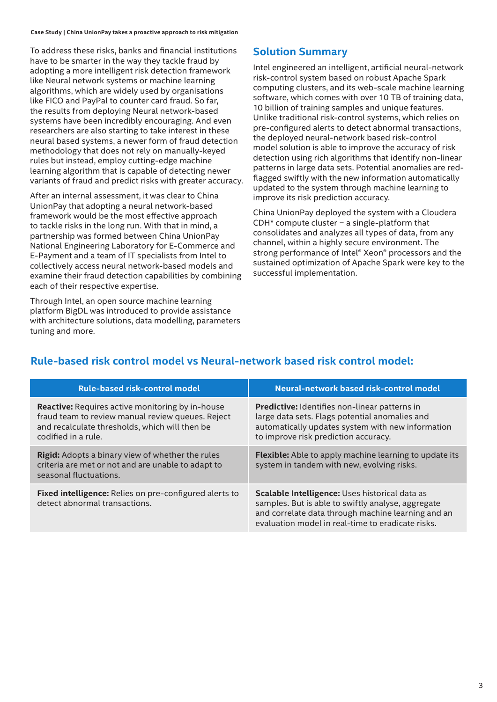**Case Study | China UnionPay takes a proactive approach to risk mitigation**

To address these risks, banks and financial institutions have to be smarter in the way they tackle fraud by adopting a more intelligent risk detection framework like Neural network systems or machine learning algorithms, which are widely used by organisations like FICO and PayPal to counter card fraud. So far, the results from deploying Neural network-based systems have been incredibly encouraging. And even researchers are also starting to take interest in these neural based systems, a newer form of fraud detection methodology that does not rely on manually-keyed rules but instead, employ cutting-edge machine learning algorithm that is capable of detecting newer variants of fraud and predict risks with greater accuracy.

After an internal assessment, it was clear to China UnionPay that adopting a neural network-based framework would be the most effective approach to tackle risks in the long run. With that in mind, a partnership was formed between China UnionPay National Engineering Laboratory for E-Commerce and E-Payment and a team of IT specialists from Intel to collectively access neural network-based models and examine their fraud detection capabilities by combining each of their respective expertise.

Through Intel, an open source machine learning platform BigDL was introduced to provide assistance with architecture solutions, data modelling, parameters tuning and more.

## **Solution Summary**

Intel engineered an intelligent, artificial neural-network risk-control system based on robust Apache Spark computing clusters, and its web-scale machine learning software, which comes with over 10 TB of training data, 10 billion of training samples and unique features. Unlike traditional risk-control systems, which relies on pre-configured alerts to detect abnormal transactions, the deployed neural-network based risk-control model solution is able to improve the accuracy of risk detection using rich algorithms that identify non-linear patterns in large data sets. Potential anomalies are redflagged swiftly with the new information automatically updated to the system through machine learning to improve its risk prediction accuracy.

China UnionPay deployed the system with a Cloudera CDH\* compute cluster − a single-platform that consolidates and analyzes all types of data, from any channel, within a highly secure environment. The strong performance of Intel® Xeon® processors and the sustained optimization of Apache Spark were key to the successful implementation.

# **Rule-based risk control model vs Neural-network based risk control model:**

| <b>Rule-based risk-control model</b>                                                                                                                                                  | Neural-network based risk-control model                                                                                                                                                                         |
|---------------------------------------------------------------------------------------------------------------------------------------------------------------------------------------|-----------------------------------------------------------------------------------------------------------------------------------------------------------------------------------------------------------------|
| <b>Reactive:</b> Requires active monitoring by in-house<br>fraud team to review manual review queues. Reject<br>and recalculate thresholds, which will then be<br>codified in a rule. | Predictive: Identifies non-linear patterns in<br>large data sets. Flags potential anomalies and<br>automatically updates system with new information<br>to improve risk prediction accuracy.                    |
| <b>Rigid:</b> Adopts a binary view of whether the rules<br>criteria are met or not and are unable to adapt to<br>seasonal fluctuations.                                               | <b>Flexible:</b> Able to apply machine learning to update its<br>system in tandem with new, evolving risks.                                                                                                     |
| Fixed intelligence: Relies on pre-configured alerts to<br>detect abnormal transactions.                                                                                               | Scalable Intelligence: Uses historical data as<br>samples. But is able to swiftly analyse, aggregate<br>and correlate data through machine learning and an<br>evaluation model in real-time to eradicate risks. |